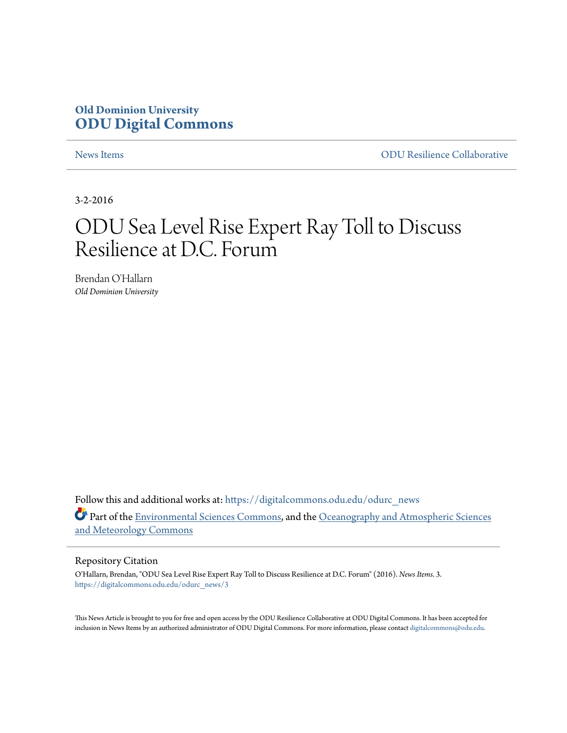### **Old Dominion University [ODU Digital Commons](https://digitalcommons.odu.edu?utm_source=digitalcommons.odu.edu%2Fodurc_news%2F3&utm_medium=PDF&utm_campaign=PDFCoverPages)**

[News Items](https://digitalcommons.odu.edu/odurc_news?utm_source=digitalcommons.odu.edu%2Fodurc_news%2F3&utm_medium=PDF&utm_campaign=PDFCoverPages) [ODU Resilience Collaborative](https://digitalcommons.odu.edu/odurc?utm_source=digitalcommons.odu.edu%2Fodurc_news%2F3&utm_medium=PDF&utm_campaign=PDFCoverPages)

3-2-2016

### ODU Sea Level Rise Expert Ray Toll to Discuss Resilience at D.C. Forum

Brendan O'Hallarn *Old Dominion University*

Follow this and additional works at: [https://digitalcommons.odu.edu/odurc\\_news](https://digitalcommons.odu.edu/odurc_news?utm_source=digitalcommons.odu.edu%2Fodurc_news%2F3&utm_medium=PDF&utm_campaign=PDFCoverPages) Part of the [Environmental Sciences Commons,](http://network.bepress.com/hgg/discipline/167?utm_source=digitalcommons.odu.edu%2Fodurc_news%2F3&utm_medium=PDF&utm_campaign=PDFCoverPages) and the [Oceanography and Atmospheric Sciences](http://network.bepress.com/hgg/discipline/186?utm_source=digitalcommons.odu.edu%2Fodurc_news%2F3&utm_medium=PDF&utm_campaign=PDFCoverPages) [and Meteorology Commons](http://network.bepress.com/hgg/discipline/186?utm_source=digitalcommons.odu.edu%2Fodurc_news%2F3&utm_medium=PDF&utm_campaign=PDFCoverPages)

#### Repository Citation

O'Hallarn, Brendan, "ODU Sea Level Rise Expert Ray Toll to Discuss Resilience at D.C. Forum" (2016). *News Items*. 3. [https://digitalcommons.odu.edu/odurc\\_news/3](https://digitalcommons.odu.edu/odurc_news/3?utm_source=digitalcommons.odu.edu%2Fodurc_news%2F3&utm_medium=PDF&utm_campaign=PDFCoverPages)

This News Article is brought to you for free and open access by the ODU Resilience Collaborative at ODU Digital Commons. It has been accepted for inclusion in News Items by an authorized administrator of ODU Digital Commons. For more information, please contact [digitalcommons@odu.edu.](mailto:digitalcommons@odu.edu)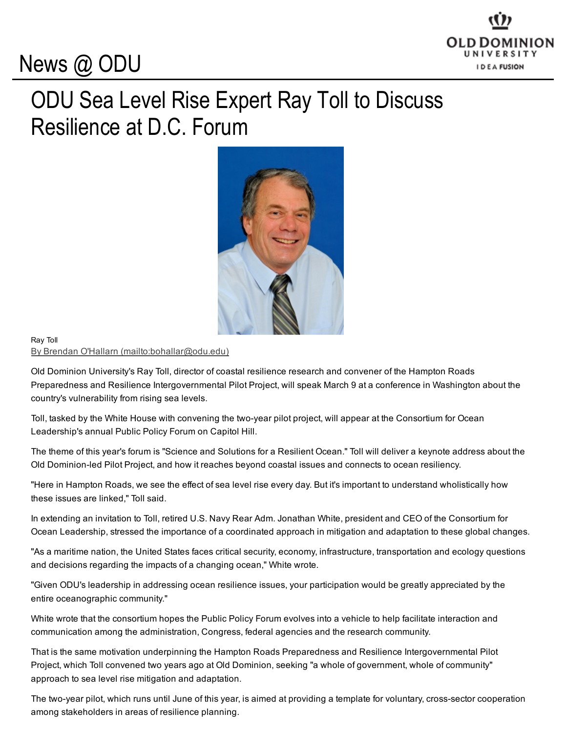# News @ ODU



## ODU Sea Level Rise Expert Ray Toll to Discuss Resilience at D.C. Forum



### Ray Toll By Brendan O'Hallarn [\(mailto:bohallar@odu.edu\)](mailto:bohallar@odu.edu)

Old Dominion University's Ray Toll, director of coastal resilience research and convener of the Hampton Roads Preparedness and Resilience Intergovernmental Pilot Project, will speak March 9 at a conference in Washington about the country's vulnerability from rising sea levels.

Toll, tasked by the White House with convening the two-year pilot project, will appear at the Consortium for Ocean Leadership's annual Public Policy Forum on Capitol Hill.

The theme of this year's forum is "Science and Solutions for a Resilient Ocean." Toll will deliver a keynote address about the Old Dominion-led Pilot Project, and how it reaches beyond coastal issues and connects to ocean resiliency.

"Here in Hampton Roads, we see the effect of sea level rise every day. But it's important to understand wholistically how these issues are linked," Toll said.

In extending an invitation to Toll, retired U.S. Navy Rear Adm. Jonathan White, president and CEO of the Consortium for Ocean Leadership, stressed the importance of a coordinated approach in mitigation and adaptation to these global changes.

"As a maritime nation, the United States faces critical security, economy, infrastructure, transportation and ecology questions and decisions regarding the impacts of a changing ocean," White wrote.

"Given ODU's leadership in addressing ocean resilience issues, your participation would be greatly appreciated by the entire oceanographic community."

White wrote that the consortium hopes the Public Policy Forum evolves into a vehicle to help facilitate interaction and communication among the administration, Congress, federal agencies and the research community.

That is the same motivation underpinning the Hampton Roads Preparedness and Resilience Intergovernmental Pilot Project, which Toll convened two years ago at Old Dominion, seeking "a whole of government, whole of community" approach to sea level rise mitigation and adaptation.

The two-year pilot, which runs until June of this year, is aimed at providing a template for voluntary, cross-sector cooperation among stakeholders in areas of resilience planning.